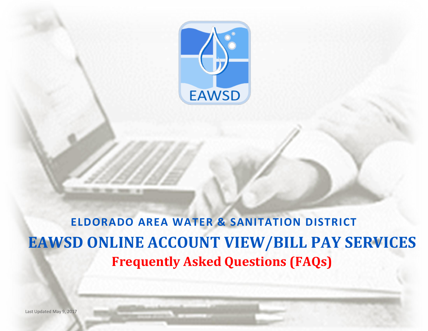

# **EAWSD ONLINE ACCOUNT VIEW/BILL PAY SERVICES Frequently Asked Questions (FAQs) ELDORADO AREA WATER & SANITATION DISTRICT**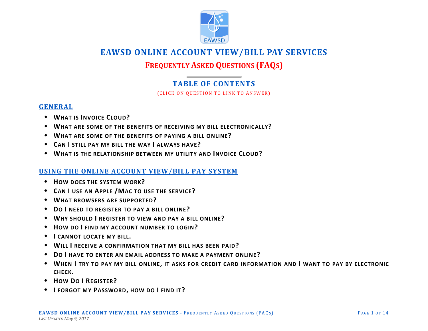

# **EAWSD ONLINE ACCOUNT VIEW/BILL PAY SERVICES**

# **FREQUENTLY ASKED QUESTIONS (FAQS)**

# **TABLE OF CONTENTS**

(CLICK ON QUESTION TO LINK TO ANSWER)

# **[GENERAL](#page-4-0)**

- **WHAT IS I[NVOICE](#page-4-0) CLOUD?**
- **W[HAT ARE SOME OF THE BENEFITS OF RECEIVING MY BILL ELECTRONICALLY](#page-4-0)?**
- **W[HAT ARE SOME OF THE BENEFITS OF PAYING A BILL ONLINE](#page-4-0)?**
- **CAN I [STILL PAY MY BILL THE WAY](#page-4-0) I ALWAYS HAVE?**
- **W[HAT IS THE RELATIONSHIP BETWEEN MY UTILITY AND](#page-4-0) INVOICE CLOUD?**

# **[USING THE ONLINE ACCOUNT VIEW/BILL PAY SYSTEM](#page-5-0)**

- **H[OW DOES THE SYSTEM WORK](#page-5-0)?**
- **CAN I USE AN APPLE /M[AC TO USE THE SERVICE](#page-5-0)?**
- **W[HAT BROWSERS ARE SUPPORTED](#page-5-0)?**
- **DO I [NEED TO REGISTER TO](#page-6-0) PAY A BILL ONLINE?**
- **WHY SHOULD I [REGISTER TO VIEW AND PAY A BILL ONLINE](#page-6-0)?**
- **HOW DO I FIND MY ACCOUNT NUMBER TO LOGIN?**
- **I [CANNOT LOCATE MY BILL](#page-6-0).**
- **WILL I [RECEIVE A CONFIRMATION THAT MY BILL HAS](#page-6-0) BEEN PAID?**
- **DO I [HAVE TO ENTER AN EMAIL ADDRESS TO MAKE A](#page-6-0) PAYMENT ONLINE?**
- **WHEN I TRY TO PAY MY BILL ONLINE, [IT ASKS FOR CREDIT CARD INFORMATION AND](#page-6-0) I WANT TO PAY BY ELECTRONIC CHECK.**
- **HOW DO I R[EGISTER](#page-7-0)?**
- **I [FORGOT MY](#page-7-0) PASSWORD, HOW DO I FIND IT?**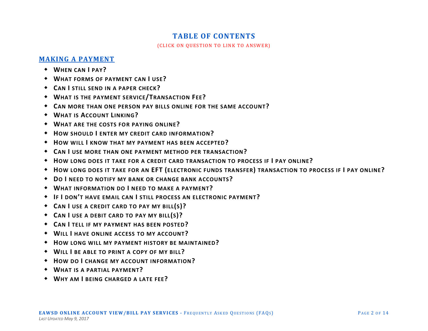# **TABLE OF CONTENTS**

(CLICK ON QUESTION TO LINK TO ANSWER)

# **[MAKING A PAYMENT](#page-7-0)**

- **W[HEN CAN](#page-7-0) I PAY?**
- **W[HAT FORMS OF PAYMENT](#page-7-0) CAN I USE?**
- **CAN I [STILL SEND IN A PAPER CHECK](#page-8-0)?**
- **W[HAT IS THE PAYMENT SERVICE](#page-8-0)/TRANSACTION FEE?**
- **C[AN MORE THAN ONE PERSON PAY BILLS ONLINE](#page-8-0) FOR THE SAME ACCOUNT?**
- **WHAT IS A[CCOUNT](#page-8-0) LINKING?**
- **W[HAT ARE THE COSTS FOR PAYING ONLINE](#page-9-0)?**
- **HOW SHOULD I [ENTER MY CREDIT CARD INFORMATION](#page-9-0)?**
- **HOW WILL I [KNOW THAT MY PAYMENT HAS BEEN ACCEPTED](#page-9-0)?**
- **CAN I [USE MORE THAN ONE PAYMENT METHOD PER TRANSACTION](#page-9-0)?**
- **HOW LONG DOES IT TAKE [FOR A CREDIT CARD TRANSACTION TO PROCESS IF](#page-9-0) I PAY ONLINE?**
- **HOW LONG DOES IT TAKE FOR AN EFT ([ELECTRONIC FUNDS TRANSFER](#page-9-0)) TRANSACTION TO PROCESS IF I PAY ONLINE?**
- **DO I [NEED TO NOTIFY MY BANK OR CHANGE BANK ACCOUNTS](#page-10-0)?**
- **WHAT INFORMATION DO I [NEED TO MAKE A PAYMENT](#page-10-0)?**
- **IF I DON'T HAVE EMAIL CAN I [STILL PROCESS AN ELECTRONIC PAYMENT](#page-10-0)?**
- **CAN I [USE A CREDIT CARD TO PAY MY BILL](#page-10-0)(S)?**
- **CAN I [USE A DEBIT CARD TO](#page-10-0) PAY MY BILL(S)?**
- **CAN I [TELL IF MY PAYMENT HAS BEEN POSTED](#page-10-0)?**
- **WILL I [HAVE ONLINE ACCESS TO MY ACCOUNT](#page-10-0)?**
- **H[OW LONG WILL MY PAYMENT HISTORY BE MAINTAINED](#page-11-0)?**
- **WILL I [BE ABLE TO PRINT A COPY OF MY BILL](#page-11-0)?**
- **HOW DO I [CHANGE MY ACCOUNT INFORMATION](#page-11-0)?**
- **W[HAT IS A PARTIAL PAYMENT](#page-11-0)?**
- **WHY AM I [BEING CHARGED A LATE FEE](#page-11-0)?**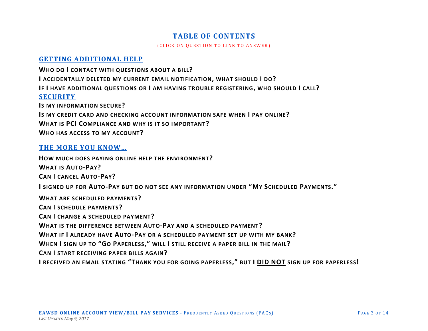# **TABLE OF CONTENTS**

(CLICK ON QUESTION TO LINK TO ANSWER)

# **[GETTING ADDITIONAL HELP](#page-11-0)**

**WHO DO I [CONTACT WITH QUESTIONS ABOUT](#page-11-0) A BILL? I [ACCIDENTALLY DELETED MY CURRENT EMAIL NOTIFICATION](#page-11-0), WHAT SHOULD I DO? IF I HAVE ADDITIONAL QUESTIONS OR I [AM HAVING TROUBLE REGISTERING](#page-11-0), WHO SHOULD I CALL? [SECURITY](#page-12-0) I[S MY INFORMATION SECURE](#page-12-0)? IS MY CREDIT CARD AND [CHECKING ACCOUNT INFORMATION SAFE WHEN](#page-12-0) I PAY ONLINE? WHAT IS PCI C[OMPLIANCE AND WHY IS](#page-12-0) IT SO IMPORTANT? W[HO HAS ACCESS TO MY ACCOUNT](#page-12-0)?**

# **[THE MORE YOU KNOW…](#page-12-0)**

**H[OW MUCH DOES PAYING ONLINE HELP THE ENVIRONMENT](#page-12-0)? W[HAT IS](#page-12-0) AUTO-PAY? CAN I [CANCEL](#page-12-0) AUTO-PAY? I SIGNED UP FOR AUTO-P[AY BUT DO NOT SEE ANY INFORMATION UNDER](#page-13-0) "MY SCHEDULED PAYMENTS." W[HAT ARE SCHEDULED PAYMENTS](#page-13-0)? CAN I [SCHEDULE PAYMENTS](#page-13-0)? CAN I [CHANGE A SCHEDULED PAYMENT](#page-13-0)? W[HAT IS THE DIFFERENCE BETWEEN](#page-13-0) AUTO-PAY AND A SCHEDULED PAYMENT? WHAT IF I ALREADY HAVE AUTO-P[AY OR A SCHEDULED PAYMENT SET UP WITH MY BANK](#page-13-0)? WHEN I SIGN UP TO "GO PAPERLESS," WILL I [STILL RECEIVE A PAPER BILL IN THE MAIL](#page-13-0)? CAN I [START RECEIVING PAPER BILLS AGAIN](#page-13-0)? I RECEIVED AN EMAIL STATING "T[HANK YOU FOR GOING PAPERLESS](#page-14-0)," BUT I DID NOT SIGN UP FOR PAPERLESS!**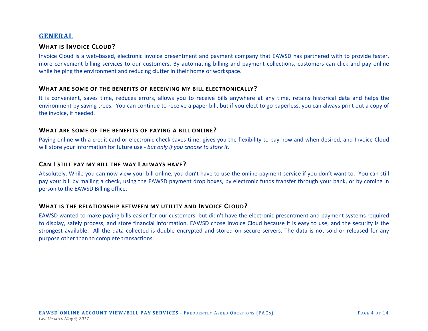# <span id="page-4-0"></span>**GENERAL**

# **WHAT IS INVOICE CLOUD?**

Invoice Cloud is a web-based, electronic invoice presentment and payment company that EAWSD has partnered with to provide faster, more convenient billing services to our customers. By automating billing and payment collections, customers can click and pay online while helping the environment and reducing clutter in their home or workspace.

#### **WHAT ARE SOME OF THE BENEFITS OF RECEIVING MY BILL ELECTRONICALLY?**

It is convenient, saves time, reduces errors, allows you to receive bills anywhere at any time, retains historical data and helps the environment by saving trees. You can continue to receive a paper bill, but if you elect to go paperless, you can always print out a copy of the invoice, if needed.

#### **WHAT ARE SOME OF THE BENEFITS OF PAYING A BILL ONLINE?**

Paying online with a credit card or electronic check saves time, gives you the flexibility to pay how and when desired, and Invoice Cloud will store your information for future use - *but only if you choose to store it.*

## **CAN I STILL PAY MY BILL THE WAY I ALWAYS HAVE?**

Absolutely. While you can now view your bill online, you don't have to use the online payment service if you don't want to. You can still pay your bill by mailing a check, using the EAWSD payment drop boxes, by electronic funds transfer through your bank, or by coming in person to the EAWSD Billing office.

## **WHAT IS THE RELATIONSHIP BETWEEN MY UTILITY AND INVOICE CLOUD?**

EAWSD wanted to make paying bills easier for our customers, but didn't have the electronic presentment and payment systems required to display, safely process, and store financial information. EAWSD chose Invoice Cloud because it is easy to use, and the security is the strongest available. All the data collected is double encrypted and stored on secure servers. The data is not sold or released for any purpose other than to complete transactions.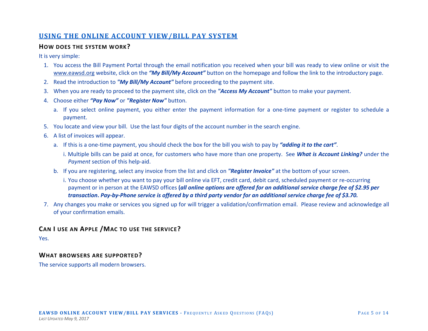# <span id="page-5-0"></span>**USING THE ONLINE ACCOUNT VIEW/BILL PAY SYSTEM**

## **HOW DOES THE SYSTEM WORK?**

It is very simple:

- 1. You access the Bill Payment Portal through the email notification you received when your bill was ready to view online or visit the [www.eawsd.org](http://www.eawsd.org/) website, click on the *"My Bill/My Account"* button on the homepage and follow the link to the introductory page.
- 2. Read the introduction to *"My Bill/My Account"* before proceeding to the payment site.
- 3. When you are ready to proceed to the payment site, click on the *"Access My Account"* button to make your payment.
- 4. Choose either *"Pay Now"* or *"Register Now"* button.
	- a. If you select online payment, you either enter the payment information for a one-time payment or register to schedule a payment.
- 5. You locate and view your bill. Use the last four digits of the account number in the search engine.
- 6. A list of invoices will appear.
	- a. If this is a one-time payment, you should check the box for the bill you wish to pay by *"adding it to the cart"*.
		- i. Multiple bills can be paid at once, for customers who have more than one property. See *What is Account Linking?* under the *Payment* section of this help-aid.
	- b. If you are registering, select any invoice from the list and click on *"Register Invoice"* at the bottom of your screen.
		- i. You choose whether you want to pay your bill online via EFT, credit card, debit card, scheduled payment or re-occurring payment or in person at the EAWSD offices **(***all online options are offered for an additional service charge fee of \$2.95 per transaction***.** *Pay-by-Phone service is offered by a third party vendor for an additional service charge fee of \$3.70.*
- 7. Any changes you make or services you signed up for will trigger a validation/confirmation email. Please review and acknowledge all of your confirmation emails.

# **CAN I USE AN APPLE /MAC TO USE THE SERVICE?**

Yes.

# **WHAT BROWSERS ARE SUPPORTED?**

The service supports all modern browsers.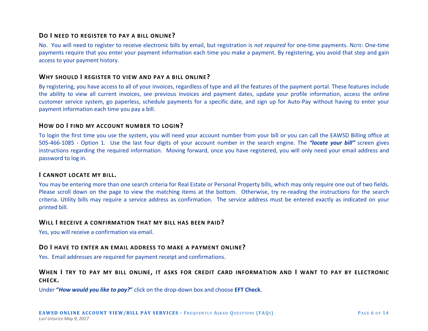# <span id="page-6-0"></span>**DO I NEED TO REGISTER TO PAY A BILL ONLINE?**

No. You will need to register to receive electronic bills by email, but registration is *not required* for one-time payments. NOTE: One-time payments require that you enter your payment information each time you make a payment. By registering, you avoid that step and gain access to your payment history.

## **WHY SHOULD I REGISTER TO VIEW AND PAY A BILL ONLINE?**

By registering, you have access to all of your invoices, regardless of type and all the features of the payment portal. These features include the ability to view all current invoices, see previous invoices and payment dates, update your profile information, access the online customer service system, go paperless, schedule payments for a specific date, and sign up for Auto-Pay without having to enter your payment information each time you pay a bill.

#### **HOW DO I FIND MY ACCOUNT NUMBER TO LOGIN?**

To login the first time you use the system, you will need your account number from your bill or you can call the EAWSD Billing office at 505-466-1085 - Option 1. Use the last four digits of your account number in the search engine. The *"locate your bill"* screen gives instructions regarding the required information. Moving forward, once you have registered, you will only need your email address and password to log in.

#### **I CANNOT LOCATE MY BILL.**

You may be entering more than one search criteria for Real Estate or Personal Property bills, which may only require one out of two fields. Please scroll down on the page to view the matching items at the bottom. Otherwise, try re-reading the instructions for the search criteria. Utility bills may require a service address as confirmation. The service address must be entered exactly as indicated on your printed bill.

#### **WILL I RECEIVE A CONFIRMATION THAT MY BILL HAS BEEN PAID?**

Yes, you will receive a confirmation via email.

## **DO I HAVE TO ENTER AN EMAIL ADDRESS TO MAKE A PAYMENT ONLINE?**

Yes. Email addresses are required for payment receipt and confirmations.

# **WHEN I TRY TO PAY MY BILL ONLINE, IT ASKS FOR CREDIT CARD INFORMATION AND I WANT TO PAY BY ELECTRONIC CHECK.**

Under **"***How would you like to pay?***"** click on the drop-down box and choose **EFT Check**.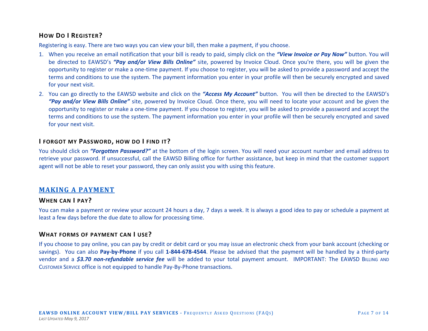# <span id="page-7-0"></span>**HOW DO I REGISTER?**

Registering is easy. There are two ways you can view your bill, then make a payment, if you choose.

- 1. When you receive an email notification that your bill is ready to paid, simply click on the *"View Invoice or Pay Now"* button. You will be directed to EAWSD's *"Pay and/or View Bills Online"* site, powered by Invoice Cloud. Once you're there, you will be given the opportunity to register or make a one-time payment. If you choose to register, you will be asked to provide a password and accept the terms and conditions to use the system. The payment information you enter in your profile will then be securely encrypted and saved for your next visit.
- 2. You can go directly to the EAWSD website and click on the *"Access My Account"* button. You will then be directed to the EAWSD's *"Pay and/or View Bills Online"* site, powered by Invoice Cloud. Once there, you will need to locate your account and be given the opportunity to register or make a one-time payment. If you choose to register, you will be asked to provide a password and accept the terms and conditions to use the system. The payment information you enter in your profile will then be securely encrypted and saved for your next visit.

# **I FORGOT MY PASSWORD, HOW DO I FIND IT?**

You should click on *"Forgotten Password?"* at the bottom of the login screen. You will need your account number and email address to retrieve your password. If unsuccessful, call the EAWSD Billing office for further assistance, but keep in mind that the customer support agent will not be able to reset your password, they can only assist you with using this feature.

# **MAKING A PAYMENT**

## **WHEN CAN I PAY?**

You can make a payment or review your account 24 hours a day, 7 days a week. It is always a good idea to pay or schedule a payment at least a few days before the due date to allow for processing time.

# **WHAT FORMS OF PAYMENT CAN I USE?**

If you choose to pay online, you can pay by credit or debit card or you may issue an electronic check from your bank account (checking or savings). You can also **Pay-by-Phone** if you call **1-844-678-4544**. Please be advised that the payment will be handled by a third-party vendor and a *\$3.70 non-refundable service fee* will be added to your total payment amount. IMPORTANT: The EAWSD BILLING AND CUSTOMER SERVICE office is not equipped to handle Pay-By-Phone transactions.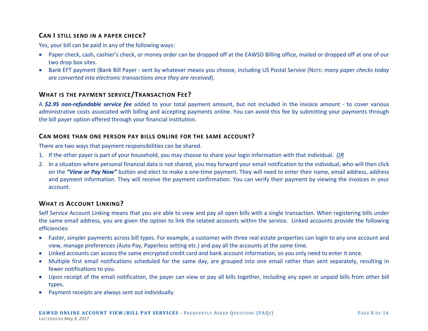# <span id="page-8-0"></span>**CAN I STILL SEND IN A PAPER CHECK?**

Yes, your bill can be paid in any of the following ways:

- Paper check, cash, cashier's check, or money order can be dropped off at the EAWSD Billing office, mailed or dropped off at one of our two drop box sites.
- Bank EFT payment (Bank Bill Payer sent by whatever means you choose, including US Postal Service (NOTE: *many paper checks today are converted into electronic transactions once they are received*).

# **WHAT IS THE PAYMENT SERVICE/TRANSACTION FEE?**

A *\$2.95 non-refundable service fee* added to your total payment amount, but not included in the invoice amount - to cover various administrative costs associated with billing and accepting payments online. You can avoid this fee by submitting your payments through the bill payer option offered through your financial institution.

# **CAN MORE THAN ONE PERSON PAY BILLS ONLINE FOR THE SAME ACCOUNT?**

There are two ways that payment responsibilities can be shared.

- 1. If the other payer is part of your household, you may choose to share your login information with that individual. *OR*
- 2. In a situation where personal financial data is not shared, you may forward your email notification to the individual, who will then click on the *"View or Pay Now"* button and elect to make a one-time payment. They will need to enter their name, email address, address and payment information. They will receive the payment confirmation. You can verify their payment by viewing the invoices in your account.

# **WHAT IS ACCOUNT LINKING?**

Self Service Account Linking means that you are able to view and pay all open bills with a single transaction. When registering bills under the same email address, you are given the option to link the related accounts within the service. Linked accounts provide the following efficiencies:

- Faster, simpler payments across bill types. For example, a customer with three real estate properties can login to any one account and view, manage preferences (Auto Pay, Paperless setting etc.) and pay all the accounts at the same time.
- Linked accounts can access the same encrypted credit card and bank account information, so you only need to enter it once.
- Multiple first email notifications scheduled for the same day, are grouped into one email rather than sent separately, resulting in fewer notifications to you.
- Upon receipt of the email notification, the payer can view or pay all bills together, including any open or unpaid bills from other bill types.
- Payment receipts are always sent out individually.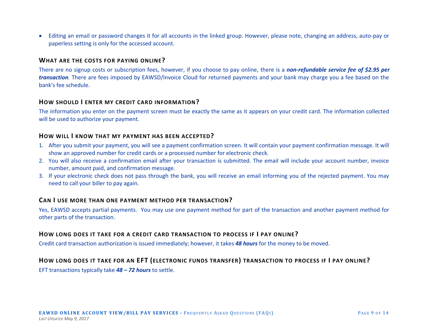<span id="page-9-0"></span>• Editing an email or password changes it for all accounts in the linked group. However, please note, changing an address, auto-pay or paperless setting is only for the accessed account.

## **WHAT ARE THE COSTS FOR PAYING ONLINE?**

There are no signup costs or subscription fees, however, if you choose to pay online, there is a *non-refundable service fee of \$2.95 per transaction.* There are fees imposed by EAWSD/Invoice Cloud for returned payments and your bank may charge you a fee based on the bank's fee schedule.

## **HOW SHOULD I ENTER MY CREDIT CARD INFORMATION?**

The information you enter on the payment screen must be exactly the same as it appears on your credit card. The information collected will be used to authorize your payment.

#### **HOW WILL I KNOW THAT MY PAYMENT HAS BEEN ACCEPTED?**

- 1. After you submit your payment, you will see a payment confirmation screen. It will contain your payment confirmation message. It will show an approved number for credit cards or a processed number for electronic check.
- 2. You will also receive a confirmation email after your transaction is submitted. The email will include your account number, invoice number, amount paid, and confirmation message.
- 3. If your electronic check does not pass through the bank, you will receive an email informing you of the rejected payment. You may need to call your biller to pay again.

## **CAN I USE MORE THAN ONE PAYMENT METHOD PER TRANSACTION?**

Yes, EAWSD accepts partial payments. You may use one payment method for part of the transaction and another payment method for other parts of the transaction.

## **HOW LONG DOES IT TAKE FOR A CREDIT CARD TRANSACTION TO PROCESS IF I PAY ONLINE?**

Credit card transaction authorization is issued immediately; however, it takes *48 hours* for the money to be moved.

# **HOW LONG DOES IT TAKE FOR AN EFT (ELECTRONIC FUNDS TRANSFER) TRANSACTION TO PROCESS IF I PAY ONLINE?**

EFT transactions typically take *48 – 72 hours* to settle.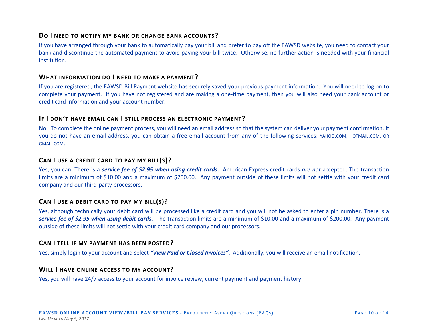# <span id="page-10-0"></span>**DO I NEED TO NOTIFY MY BANK OR CHANGE BANK ACCOUNTS?**

If you have arranged through your bank to automatically pay your bill and prefer to pay off the EAWSD website, you need to contact your bank and discontinue the automated payment to avoid paying your bill twice. Otherwise, no further action is needed with your financial institution.

## **WHAT INFORMATION DO I NEED TO MAKE A PAYMENT?**

If you are registered, the EAWSD Bill Payment website has securely saved your previous payment information. You will need to log on to complete your payment. If you have not registered and are making a one-time payment, then you will also need your bank account or credit card information and your account number.

## **IF I DON'T HAVE EMAIL CAN I STILL PROCESS AN ELECTRONIC PAYMENT?**

No. To complete the online payment process, you will need an email address so that the system can deliver your payment confirmation. If you do not have an email address, you can obtain a free email account from any of the following services: YAHOO.COM, HOTMAIL.COM, OR GMAIL.COM.

# **CAN I USE A CREDIT CARD TO PAY MY BILL(S)?**

Yes, you can. There is a *service fee of \$2.95 when using credit cards***.** American Express credit cards *are not* accepted. The transaction limits are a minimum of \$10.00 and a maximum of \$200.00. Any payment outside of these limits will not settle with your credit card company and our third-party processors.

# **CAN I USE A DEBIT CARD TO PAY MY BILL(S)?**

Yes, although technically your debit card will be processed like a credit card and you will not be asked to enter a pin number. There is a *service fee of \$2.95 when using debit cards*. The transaction limits are a minimum of \$10.00 and a maximum of \$200.00. Any payment outside of these limits will not settle with your credit card company and our processors.

## **CAN I TELL IF MY PAYMENT HAS BEEN POSTED?**

Yes, simply login to your account and select *"View Paid or Closed Invoices"*. Additionally, you will receive an email notification.

## **WILL I HAVE ONLINE ACCESS TO MY ACCOUNT?**

Yes, you will have 24/7 access to your account for invoice review, current payment and payment history.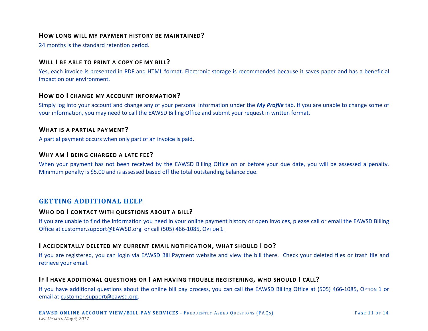## <span id="page-11-0"></span>**HOW LONG WILL MY PAYMENT HISTORY BE MAINTAINED?**

24 months is the standard retention period.

# **WILL I BE ABLE TO PRINT A COPY OF MY BILL?**

Yes, each invoice is presented in PDF and HTML format. Electronic storage is recommended because it saves paper and has a beneficial impact on our environment.

## **HOW DO I CHANGE MY ACCOUNT INFORMATION?**

Simply log into your account and change any of your personal information under the *My Profile* tab. If you are unable to change some of your information, you may need to call the EAWSD Billing Office and submit your request in written format.

#### **WHAT IS A PARTIAL PAYMENT?**

A partial payment occurs when only part of an invoice is paid.

## **WHY AM I BEING CHARGED A LATE FEE?**

When your payment has not been received by the EAWSD Billing Office on or before your due date, you will be assessed a penalty. Minimum penalty is \$5.00 and is assessed based off the total outstanding balance due.

# **GETTING ADDITIONAL HELP**

# **WHO DO I CONTACT WITH QUESTIONS ABOUT A BILL?**

If you are unable to find the information you need in your online payment history or open invoices, please call or email the EAWSD Billing Office at [customer.support@EAWSD.org](mailto:customer.support@eawsd.org) or call (505) 466-1085, OPTION 1.

# **I ACCIDENTALLY DELETED MY CURRENT EMAIL NOTIFICATION, WHAT SHOULD I DO?**

If you are registered, you can login via EAWSD Bill Payment website and view the bill there. Check your deleted files or trash file and retrieve your email.

## **IF I HAVE ADDITIONAL QUESTIONS OR I AM HAVING TROUBLE REGISTERING, WHO SHOULD I CALL?**

If you have additional questions about the online bill pay process, you can call the EAWSD Billing Office at (505) 466-1085, OPTION 1 or email at [customer.support@eawsd.org.](mailto:customer.support@eawsd.org)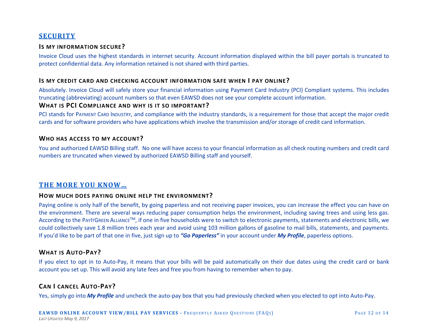# <span id="page-12-0"></span>**SECURITY**

## **IS MY INFORMATION SECURE?**

Invoice Cloud uses the highest standards in internet security. Account information displayed within the bill payer portals is truncated to protect confidential data. Any information retained is not shared with third parties.

#### **IS MY CREDIT CARD AND CHECKING ACCOUNT INFORMATION SAFE WHEN I PAY ONLINE?**

Absolutely. Invoice Cloud will safely store your financial information using Payment Card Industry (PCI) Compliant systems. This includes truncating (abbreviating) account numbers so that even EAWSD does not see your complete account information.

# **WHAT IS PCI COMPLIANCE AND WHY IS IT SO IMPORTANT?**

PCI stands for PAYMENT CARD INDUSTRY, and compliance with the industry standards, is a requirement for those that accept the major credit cards and for software providers who have applications which involve the transmission and/or storage of credit card information.

#### **WHO HAS ACCESS TO MY ACCOUNT?**

You and authorized EAWSD Billing staff. No one will have access to your financial information as all check routing numbers and credit card numbers are truncated when viewed by authorized EAWSD Billing staff and yourself.

# **THE MORE YOU KNOW…**

#### **HOW MUCH DOES PAYING ONLINE HELP THE ENVIRONMENT?**

Paying online is only half of the benefit, by going paperless and not receiving paper invoices, you can increase the effect you can have on the environment. There are several ways reducing paper consumption helps the environment, including saving trees and using less gas. According to the PAYITGREEN ALLIANCE<sup>TM</sup>, if one in five households were to switch to electronic payments, statements and electronic bills, we could collectively save 1.8 million trees each year and avoid using 103 million gallons of gasoline to mail bills, statements, and payments. If you'd like to be part of that one in five, just sign up to *"Go Paperless"* in your account under *My Profile*, paperless options.

## **WHAT IS AUTO-PAY?**

If you elect to opt in to Auto-Pay, it means that your bills will be paid automatically on their due dates using the credit card or bank account you set up. This will avoid any late fees and free you from having to remember when to pay.

# **CAN I CANCEL AUTO-PAY?**

Yes, simply go into *My Profile* and uncheck the auto-pay box that you had previously checked when you elected to opt into Auto-Pay.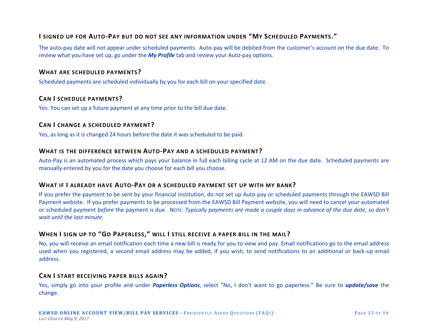# <span id="page-13-0"></span>**I SIGNED UP FOR AUTO-PAY BUT DO NOT SEE ANY INFORMATION UNDER "MY SCHEDULED PAYMENTS."**

The auto-pay date will not appear under scheduled payments. Auto-pay will be debited from the customer's account on the due date. To review what you have set up, go under the *My Profile* tab and review your Auto-pay options.

## **WHAT ARE SCHEDULED PAYMENTS?**

Scheduled payments are scheduled individually by you for each bill on your specified date.

# **CAN I SCHEDULE PAYMENTS?**

Yes. You can set up a future payment at any time prior to the bill due date.

## **CAN I CHANGE A SCHEDULED PAYMENT?**

Yes, as long as it is changed 24 hours before the date it was scheduled to be paid.

## **WHAT IS THE DIFFERENCE BETWEEN AUTO-PAY AND A SCHEDULED PAYMENT?**

Auto-Pay is an automated process which pays your balance in full each billing cycle at 12 AM on the due date. Scheduled payments are manually entered by you for the date you choose for each bill you choose.

## **WHAT IF I ALREADY HAVE AUTO-PAY OR A SCHEDULED PAYMENT SET UP WITH MY BANK?**

If you prefer the payment to be sent by your financial institution, do not set up Auto-pay or scheduled payments through the EAWSD Bill Payment website. If you prefer payments to be processed from the EAWSD Bill Payment website, you will need to cancel your automated or scheduled payment *before* the payment is due. NOTE: *Typically payments are made a couple days in advance of the due date, so don't wait until the last minute.*

# **WHEN I SIGN UP TO "GO PAPERLESS," WILL I STILL RECEIVE A PAPER BILL IN THE MAIL?**

No, you will receive an email notification each time a new bill is ready for you to view and pay. Email notifications go to the email address used when you registered, a second email address may be added, if you wish, to send notifications to an additional or back-up email address.

## **CAN I START RECEIVING PAPER BILLS AGAIN?**

Yes, simply go into your profile and under *Paperless Options*, select "No, I don't want to go paperless." Be sure to *update/save* the change.